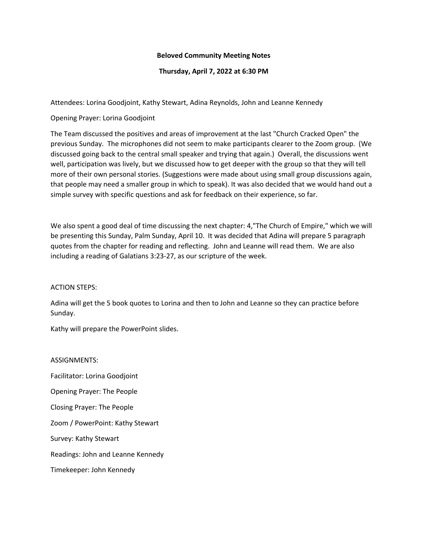## **Beloved Community Meeting Notes**

## **Thursday, April 7, 2022 at 6:30 PM**

Attendees: Lorina Goodjoint, Kathy Stewart, Adina Reynolds, John and Leanne Kennedy

Opening Prayer: Lorina Goodjoint

The Team discussed the positives and areas of improvement at the last "Church Cracked Open" the previous Sunday. The microphones did not seem to make participants clearer to the Zoom group. (We discussed going back to the central small speaker and trying that again.) Overall, the discussions went well, participation was lively, but we discussed how to get deeper with the group so that they will tell more of their own personal stories. (Suggestions were made about using small group discussions again, that people may need a smaller group in which to speak). It was also decided that we would hand out a simple survey with specific questions and ask for feedback on their experience, so far.

We also spent a good deal of time discussing the next chapter: 4,"The Church of Empire," which we will be presenting this Sunday, Palm Sunday, April 10. It was decided that Adina will prepare 5 paragraph quotes from the chapter for reading and reflecting. John and Leanne will read them. We are also including a reading of Galatians 3:23-27, as our scripture of the week.

## ACTION STEPS:

Adina will get the 5 book quotes to Lorina and then to John and Leanne so they can practice before Sunday.

Kathy will prepare the PowerPoint slides.

## ASSIGNMENTS:

Facilitator: Lorina Goodjoint Opening Prayer: The People Closing Prayer: The People Zoom / PowerPoint: Kathy Stewart Survey: Kathy Stewart Readings: John and Leanne Kennedy Timekeeper: John Kennedy